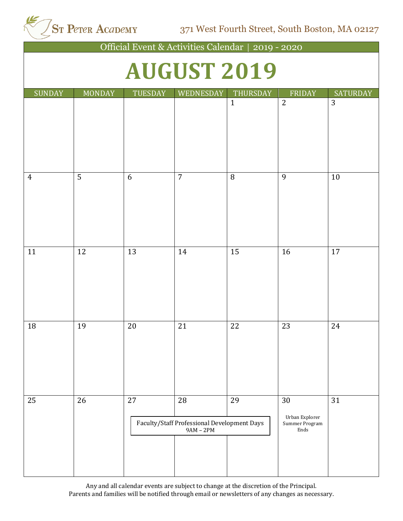ST Peter Acapemy

371 West Fourth Street, South Boston, MA 02127

| Official Event & Activities Calendar   2019 - 2020 |                    |         |                                                                  |              |                                                |                 |  |  |  |
|----------------------------------------------------|--------------------|---------|------------------------------------------------------------------|--------------|------------------------------------------------|-----------------|--|--|--|
|                                                    | <b>AUGUST 2019</b> |         |                                                                  |              |                                                |                 |  |  |  |
| <b>SUNDAY</b>                                      | <b>MONDAY</b>      | TUESDAY | WEDNESDAY                                                        | THURSDAY     | FRIDAY                                         | <b>SATURDAY</b> |  |  |  |
|                                                    |                    |         |                                                                  | $\mathbf{1}$ | $\overline{2}$                                 | 3               |  |  |  |
| $\overline{4}$                                     | 5                  | 6       | $\overline{7}$                                                   | 8            | 9                                              | 10              |  |  |  |
| 11                                                 | 12                 | 13      | 14                                                               | 15           | 16                                             | 17              |  |  |  |
| 18                                                 | 19                 | 20      | 21                                                               | 22           | 23                                             | 24              |  |  |  |
| 25                                                 | 26                 | 27      | 28<br>Faculty/Staff Professional Development Days<br>$9AM - 2PM$ | 29           | 30<br>Urban Explorer<br>Summer Program<br>Ends | 31              |  |  |  |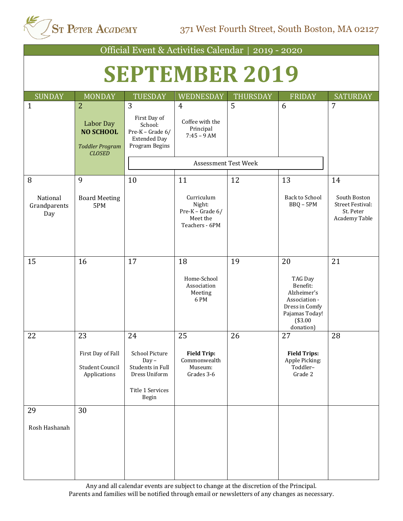| Official Event & Activities Calendar   2019 - 2020 |                                                                                                   |                                                                                                          |                                                                        |          |                                                                                                                       |                                                                              |  |  |
|----------------------------------------------------|---------------------------------------------------------------------------------------------------|----------------------------------------------------------------------------------------------------------|------------------------------------------------------------------------|----------|-----------------------------------------------------------------------------------------------------------------------|------------------------------------------------------------------------------|--|--|
| <b>SEPTEMBER 2019</b>                              |                                                                                                   |                                                                                                          |                                                                        |          |                                                                                                                       |                                                                              |  |  |
| <b>SUNDAY</b>                                      | <b>MONDAY</b>                                                                                     | <b>TUESDAY</b>                                                                                           | WEDNESDAY                                                              | THURSDAY | <b>FRIDAY</b>                                                                                                         | <b>SATURDAY</b>                                                              |  |  |
| $\mathbf{1}$                                       | $\overline{2}$<br><b>Labor Day</b><br><b>NO SCHOOL</b><br><b>Toddler Program</b><br><b>CLOSED</b> | 3<br>First Day of<br>School:<br>Pre-K - Grade 6/<br><b>Extended Day</b><br>Program Begins                | $\overline{4}$<br>Coffee with the<br>Principal<br>$7:45 - 9$ AM        | 5        | 6                                                                                                                     | 7                                                                            |  |  |
|                                                    |                                                                                                   |                                                                                                          | <b>Assessment Test Week</b>                                            |          |                                                                                                                       |                                                                              |  |  |
| 8                                                  | 9                                                                                                 | 10                                                                                                       | 11                                                                     | 12       | 13                                                                                                                    | 14                                                                           |  |  |
| National<br>Grandparents<br>Day                    | <b>Board Meeting</b><br>5PM                                                                       |                                                                                                          | Curriculum<br>Night:<br>Pre-K - Grade 6/<br>Meet the<br>Teachers - 6PM |          | <b>Back to School</b><br>$BBQ - 5PM$                                                                                  | South Boston<br><b>Street Festival:</b><br>St. Peter<br><b>Academy Table</b> |  |  |
| 15                                                 | 16                                                                                                | 17                                                                                                       | 18<br>Home-School<br>Association<br>Meeting<br>6PM                     | 19       | 20<br>TAG Day<br>Benefit:<br>Alzheimer's<br>Association -<br>Dress in Comfy<br>Pajamas Today!<br>(\$3.00<br>donation) | 21                                                                           |  |  |
| 22                                                 | 23<br>First Day of Fall<br>Student Council<br>Applications                                        | 24<br><b>School Picture</b><br>$Day -$<br>Students in Full<br>Dress Uniform<br>Title 1 Services<br>Begin | 25<br><b>Field Trip:</b><br>Commonwealth<br>Museum:<br>Grades 3-6      | 26       | 27<br><b>Field Trips:</b><br>Apple Picking:<br>Toddler-<br>Grade 2                                                    | ${\bf 28}$                                                                   |  |  |
| 29<br>Rosh Hashanah                                | 30                                                                                                |                                                                                                          |                                                                        |          |                                                                                                                       |                                                                              |  |  |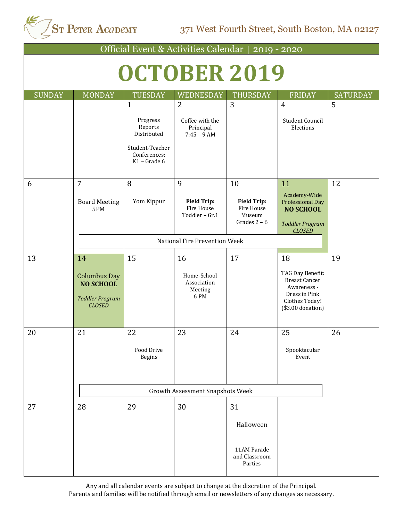ST Peter Acapemy

371 West Fourth Street, South Boston, MA 02127

| Official Event & Activities Calendar   2019 - 2020                                       |                                                                                                         |                                                         |                                                                    |                                                                                                                        |                 |  |  |  |
|------------------------------------------------------------------------------------------|---------------------------------------------------------------------------------------------------------|---------------------------------------------------------|--------------------------------------------------------------------|------------------------------------------------------------------------------------------------------------------------|-----------------|--|--|--|
| OCTOBER 2019                                                                             |                                                                                                         |                                                         |                                                                    |                                                                                                                        |                 |  |  |  |
| <b>MONDAY</b>                                                                            | <b>TUESDAY</b>                                                                                          | WEDNESDAY                                               | <b>THURSDAY</b>                                                    | <b>FRIDAY</b>                                                                                                          | <b>SATURDAY</b> |  |  |  |
|                                                                                          | $\mathbf{1}$<br>Progress<br>Reports<br>Distributed<br>Student-Teacher<br>Conferences:<br>$K1$ – Grade 6 | 2<br>Coffee with the<br>Principal<br>$7:45 - 9$ AM      | 3                                                                  | $\overline{4}$<br><b>Student Council</b><br>Elections                                                                  | 5               |  |  |  |
| $\overline{7}$<br><b>Board Meeting</b><br>5PM                                            | 8<br>Yom Kippur                                                                                         | 9<br><b>Field Trip:</b><br>Fire House<br>Toddler - Gr.1 | 10<br><b>Field Trip:</b><br>Fire House<br>Museum<br>Grades $2 - 6$ | 11<br>Academy-Wide<br><b>Professional Day</b><br><b>NO SCHOOL</b><br><b>Toddler Program</b><br><b>CLOSED</b>           | 12              |  |  |  |
|                                                                                          |                                                                                                         |                                                         |                                                                    |                                                                                                                        |                 |  |  |  |
| 14<br><b>Columbus Day</b><br><b>NO SCHOOL</b><br><b>Toddler Program</b><br><b>CLOSED</b> | 15                                                                                                      | 16<br>Home-School<br>Association<br>Meeting<br>6 PM     | 17                                                                 | 18<br>TAG Day Benefit:<br><b>Breast Cancer</b><br>Awareness -<br>Dress in Pink<br>Clothes Today!<br>$($3.00$ donation) | 19              |  |  |  |
| 21                                                                                       | 22<br>Food Drive<br><b>Begins</b>                                                                       | 23                                                      | 24                                                                 | 25<br>Spooktacular<br>Event                                                                                            | 26              |  |  |  |
| 28                                                                                       | 29                                                                                                      | 30                                                      | 31<br>Halloween<br>11AM Parade<br>and Classroom<br>Parties         |                                                                                                                        |                 |  |  |  |
|                                                                                          |                                                                                                         |                                                         |                                                                    | National Fire Prevention Week<br><b>Growth Assessment Snapshots Week</b>                                               |                 |  |  |  |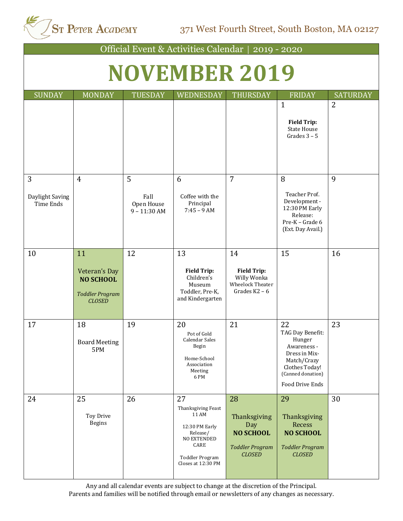ST Peter Acapemy 371 West Fourth Street, South Boston, MA 02127

| Official Event & Activities Calendar   2019 - 2020 |                                                                                    |                                           |                                                                                                                                 |                                                                                          |                                                                                                                                           |                 |  |  |
|----------------------------------------------------|------------------------------------------------------------------------------------|-------------------------------------------|---------------------------------------------------------------------------------------------------------------------------------|------------------------------------------------------------------------------------------|-------------------------------------------------------------------------------------------------------------------------------------------|-----------------|--|--|
| <b>NOVEMBER 2019</b>                               |                                                                                    |                                           |                                                                                                                                 |                                                                                          |                                                                                                                                           |                 |  |  |
| <b>SUNDAY</b>                                      | <b>MONDAY</b>                                                                      | <b>TUESDAY</b>                            | <b>WEDNESDAY</b>                                                                                                                | THURSDAY                                                                                 | <b>FRIDAY</b>                                                                                                                             | <b>SATURDAY</b> |  |  |
|                                                    |                                                                                    |                                           |                                                                                                                                 |                                                                                          | $\mathbf{1}$<br><b>Field Trip:</b><br><b>State House</b><br>Grades $3 - 5$                                                                | $\overline{2}$  |  |  |
| 3<br>Daylight Saving<br><b>Time Ends</b>           | $\overline{4}$                                                                     | 5<br>Fall<br>Open House<br>$9 - 11:30$ AM | 6<br>Coffee with the<br>Principal<br>$7:45 - 9$ AM                                                                              | $\overline{7}$                                                                           | 8<br>Teacher Prof.<br>Development -<br>12:30 PM Early<br>Release:<br>Pre-K - Grade 6<br>(Ext. Day Avail.)                                 | 9               |  |  |
| 10                                                 | 11<br>Veteran's Day<br><b>NO SCHOOL</b><br><b>Toddler Program</b><br><b>CLOSED</b> | 12                                        | 13<br><b>Field Trip:</b><br>Children's<br>Museum<br>Toddler, Pre-K,<br>and Kindergarten                                         | 14<br><b>Field Trip:</b><br>Willy Wonka<br>Wheelock Theater<br>Grades $K2 - 6$           | 15                                                                                                                                        | 16              |  |  |
| 17                                                 | 18<br><b>Board Meeting</b><br>5PM                                                  | 19                                        | 20<br>Pot of Gold<br>Calendar Sales<br>Begin<br>Home-School<br>Association<br>Meeting<br>6 PM                                   | 21                                                                                       | 22<br>TAG Day Benefit:<br>Hunger<br>Awareness -<br>Dress in Mix-<br>Match/Crazy<br>Clothes Today!<br>(Canned donation)<br>Food Drive Ends | 23              |  |  |
| 24                                                 | 25<br><b>Toy Drive</b><br><b>Begins</b>                                            | 26                                        | 27<br>Thanksgiving Feast<br>11 AM<br>12:30 PM Early<br>Release/<br>NO EXTENDED<br>CARE<br>Toddler Program<br>Closes at 12:30 PM | 28<br>Thanksgiving<br>Day<br><b>NO SCHOOL</b><br><b>Toddler Program</b><br><b>CLOSED</b> | 29<br>Thanksgiving<br>Recess<br><b>NO SCHOOL</b><br><b>Toddler Program</b><br><b>CLOSED</b>                                               | 30              |  |  |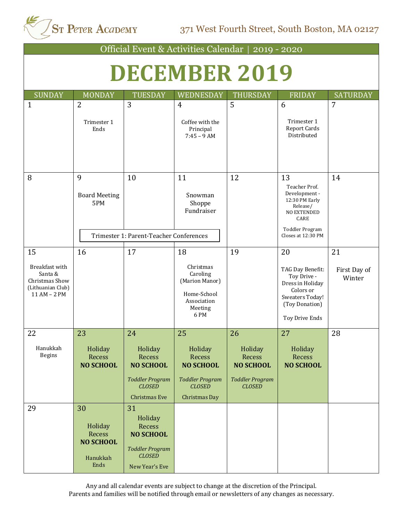ST Peter Acapemy 371 West Fourth Street, South Boston, MA 02127

| Official Event & Activities Calendar  <br>$2019 - 2020$                                |                                                                 |                                                                                                          |                                                                                               |                                                                                  |                                                                                                                                                  |                              |  |  |
|----------------------------------------------------------------------------------------|-----------------------------------------------------------------|----------------------------------------------------------------------------------------------------------|-----------------------------------------------------------------------------------------------|----------------------------------------------------------------------------------|--------------------------------------------------------------------------------------------------------------------------------------------------|------------------------------|--|--|
| <b>DECEMBER 2019</b>                                                                   |                                                                 |                                                                                                          |                                                                                               |                                                                                  |                                                                                                                                                  |                              |  |  |
| <b>SUNDAY</b>                                                                          | <b>MONDAY</b>                                                   | <b>TUESDAY</b>                                                                                           | WEDNESDAY                                                                                     | <b>THURSDAY</b>                                                                  | <b>FRIDAY</b>                                                                                                                                    | <b>SATURDAY</b>              |  |  |
| $\mathbf{1}$                                                                           | $\overline{2}$<br>Trimester 1<br>Ends                           | 3                                                                                                        | $\overline{4}$<br>Coffee with the<br>Principal<br>$7:45 - 9$ AM                               | 5                                                                                | 6<br>Trimester 1<br><b>Report Cards</b><br>Distributed                                                                                           | 7                            |  |  |
| 8                                                                                      | 9<br><b>Board Meeting</b><br>5PM                                | 10<br>Trimester 1: Parent-Teacher Conferences                                                            | 11<br>Snowman<br>Shoppe<br>Fundraiser                                                         | 12                                                                               | 13<br>Teacher Prof.<br>Development -<br>12:30 PM Early<br>Release/<br><b>NO EXTENDED</b><br>CARE<br><b>Toddler Program</b><br>Closes at 12:30 PM | 14                           |  |  |
|                                                                                        |                                                                 |                                                                                                          |                                                                                               |                                                                                  |                                                                                                                                                  |                              |  |  |
| 15<br>Breakfast with<br>Santa &<br>Christmas Show<br>(Lithuanian Club)<br>11 AM - 2 PM | 16                                                              | 17                                                                                                       | 18<br>Christmas<br>Caroling<br>(Marion Manor)<br>Home-School<br>Association<br>Meeting<br>6PM | 19                                                                               | 20<br>TAG Day Benefit:<br>Toy Drive -<br>Dress in Holiday<br>Colors or<br>Sweaters Today!<br>(Toy Donation)<br>Toy Drive Ends                    | 21<br>First Day of<br>Winter |  |  |
| 22                                                                                     | 23                                                              | 24                                                                                                       | 25                                                                                            | 26                                                                               | 27                                                                                                                                               | 28                           |  |  |
| Hanukkah<br>Begins                                                                     | Holiday<br>Recess<br><b>NO SCHOOL</b>                           | Holiday<br>Recess<br><b>NO SCHOOL</b><br><b>Toddler Program</b><br><b>CLOSED</b>                         | Holiday<br>Recess<br><b>NO SCHOOL</b><br><b>Toddler Program</b><br><b>CLOSED</b>              | Holiday<br>Recess<br><b>NO SCHOOL</b><br><b>Toddler Program</b><br><b>CLOSED</b> | Holiday<br>Recess<br><b>NO SCHOOL</b>                                                                                                            |                              |  |  |
|                                                                                        |                                                                 | Christmas Eve                                                                                            | Christmas Day                                                                                 |                                                                                  |                                                                                                                                                  |                              |  |  |
| 29                                                                                     | 30<br>Holiday<br>Recess<br><b>NO SCHOOL</b><br>Hanukkah<br>Ends | 31<br>Holiday<br>Recess<br><b>NO SCHOOL</b><br><b>Toddler Program</b><br><b>CLOSED</b><br>New Year's Eve |                                                                                               |                                                                                  |                                                                                                                                                  |                              |  |  |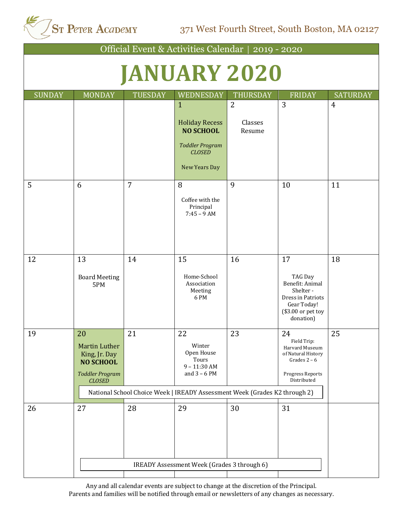

| Official Event & Activities Calendar   2019 - 2020 |                                                                                                         |                |                                                                                                                                                       |                                     |                                                                                                                     |                 |  |  |  |
|----------------------------------------------------|---------------------------------------------------------------------------------------------------------|----------------|-------------------------------------------------------------------------------------------------------------------------------------------------------|-------------------------------------|---------------------------------------------------------------------------------------------------------------------|-----------------|--|--|--|
|                                                    |                                                                                                         |                |                                                                                                                                                       |                                     |                                                                                                                     |                 |  |  |  |
| <b>JANUARY 2020</b>                                |                                                                                                         |                |                                                                                                                                                       |                                     |                                                                                                                     |                 |  |  |  |
| <b>SUNDAY</b>                                      | <b>MONDAY</b>                                                                                           | <b>TUESDAY</b> | WEDNESDAY                                                                                                                                             | THURSDAY                            | <b>FRIDAY</b>                                                                                                       | <b>SATURDAY</b> |  |  |  |
|                                                    |                                                                                                         |                | $\mathbf{1}$<br><b>Holiday Recess</b><br><b>NO SCHOOL</b><br><b>Toddler Program</b><br><b>CLOSED</b>                                                  | $\overline{2}$<br>Classes<br>Resume | $\overline{3}$                                                                                                      | $\overline{4}$  |  |  |  |
|                                                    |                                                                                                         |                | New Years Day                                                                                                                                         |                                     |                                                                                                                     |                 |  |  |  |
| 5                                                  | 6                                                                                                       | $\overline{7}$ | 8<br>Coffee with the<br>Principal<br>$7:45 - 9$ AM                                                                                                    | 9                                   | 10                                                                                                                  | 11              |  |  |  |
| 12                                                 | 13<br><b>Board Meeting</b><br>5PM                                                                       | 14             | 15<br>Home-School<br>Association<br>Meeting<br>6PM                                                                                                    | 16                                  | 17<br>TAG Day<br>Benefit: Animal<br>Shelter-<br>Dress in Patriots<br>Gear Today!<br>(\$3.00 or pet toy<br>donation) | 18              |  |  |  |
| 19                                                 | $20\,$<br>Martin Luther<br>King, Jr. Day<br><b>NO SCHOOL</b><br><b>Toddler Program</b><br><b>CLOSED</b> | 21             | 22<br>Winter<br>Open House<br>Tours<br>$9 - 11:30$ AM<br>and $3 - 6$ PM<br>National School Choice Week   IREADY Assessment Week (Grades K2 through 2) | 23                                  | 24<br>Field Trip:<br>Harvard Museum<br>of Natural History<br>Grades $2 - 6$<br>Progress Reports<br>Distributed      | 25              |  |  |  |
| 26                                                 | 27                                                                                                      | 28             | 29<br>IREADY Assessment Week (Grades 3 through 6)                                                                                                     | 30                                  | 31                                                                                                                  |                 |  |  |  |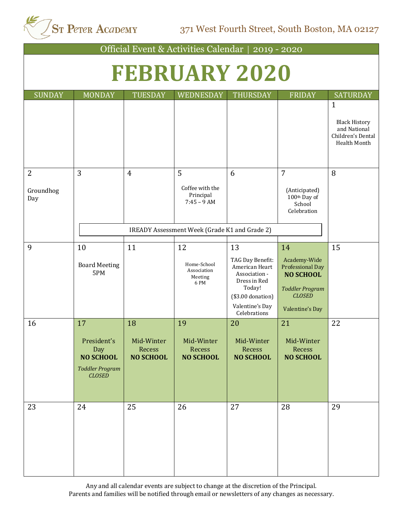ST Peter Academy

371 West Fourth Street, South Boston, MA 02127

Official Event & Activities Calendar | 2019 - 2020 **FEBRUARY 2020** SUNDAY MONDAY TUESDAY WEDNESDAY THURSDAY FRIDAY SATURDAY 1 Black History and National Children's Dental Health Month 2 Groundhog Day  $\begin{array}{ccc} 3 & 4 & 5 \end{array}$ Coffee with the Principal 7:45 – 9 AM 6 7 (Anticipated) 100th Day of School Celebration 8 9 10 Board Meeting 5PM 11 12 Home-School Association Meeting 6 PM 13 TAG Day Benefit: American Heart Association - Dress in Red Today! (\$3.00 donation) Valentine's Day Celebrations 14 Academy-Wide Professional Day **NO SCHOOL** *Toddler Program CLOSED* Valentine's Day 15 16 17 President's Day **NO SCHOOL** *Toddler Program CLOSED* 18 Mid-Winter Recess **NO SCHOOL** 19 Mid-Winter Recess **NO SCHOOL** 20 Mid-Winter Recess **NO SCHOOL** 21 Mid-Winter Recess **NO SCHOOL** 22 23 24 25 26 27 28 29 IREADY Assessment Week (Grade K1 and Grade 2)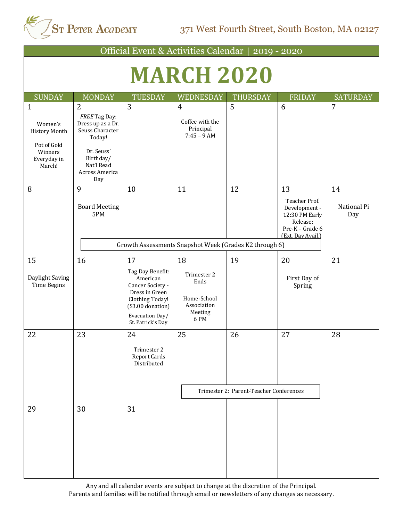

| Official Event & Activities Calendar   2019 - 2020                                                 |                                                                                                                                                     |                                                                                                                                                           |                                                                           |                                               |                                                                                                            |                          |  |
|----------------------------------------------------------------------------------------------------|-----------------------------------------------------------------------------------------------------------------------------------------------------|-----------------------------------------------------------------------------------------------------------------------------------------------------------|---------------------------------------------------------------------------|-----------------------------------------------|------------------------------------------------------------------------------------------------------------|--------------------------|--|
| <b>MARCH 2020</b>                                                                                  |                                                                                                                                                     |                                                                                                                                                           |                                                                           |                                               |                                                                                                            |                          |  |
| <b>SUNDAY</b>                                                                                      | <b>MONDAY</b>                                                                                                                                       | <b>TUESDAY</b>                                                                                                                                            | WEDNESDAY                                                                 | <b>THURSDAY</b>                               | FRIDAY                                                                                                     | <b>SATURDAY</b>          |  |
| $\mathbf{1}$<br>Women's<br><b>History Month</b><br>Pot of Gold<br>Winners<br>Everyday in<br>March! | $\overline{2}$<br>FREE Tag Day:<br>Dress up as a Dr.<br>Seuss Character<br>Today!<br>Dr. Seuss'<br>Birthday/<br>Nat'l Read<br>Across America<br>Day | $\overline{3}$                                                                                                                                            | $\overline{4}$<br>Coffee with the<br>Principal<br>$7:45 - 9 AM$           | 5                                             | 6                                                                                                          | 7                        |  |
| 8                                                                                                  | 9<br><b>Board Meeting</b><br>5PM                                                                                                                    | 10                                                                                                                                                        | 11<br>Growth Assessments Snapshot Week (Grades K2 through 6)              | 12                                            | 13<br>Teacher Prof.<br>Development -<br>12:30 PM Early<br>Release:<br>Pre-K - Grade 6<br>(Ext. Day Avail.) | 14<br>National Pi<br>Day |  |
| 15<br>Daylight Saving<br><b>Time Begins</b>                                                        | 16                                                                                                                                                  | 17<br>Tag Day Benefit:<br>American<br>Cancer Society -<br>Dress in Green<br>Clothing Today!<br>$($3.00$ donation)<br>Evacuation Day/<br>St. Patrick's Day | 18<br>Trimester 2<br>Ends<br>Home-School<br>Association<br>Meeting<br>6PM | 19                                            | 20<br>First Day of<br>Spring                                                                               | 21                       |  |
| 22                                                                                                 | 23                                                                                                                                                  | 24<br>Trimester 2<br><b>Report Cards</b><br>Distributed                                                                                                   | 25                                                                        | 26<br>Trimester 2: Parent-Teacher Conferences | 27                                                                                                         | 28                       |  |
| 29                                                                                                 | 30                                                                                                                                                  | 31                                                                                                                                                        |                                                                           |                                               |                                                                                                            |                          |  |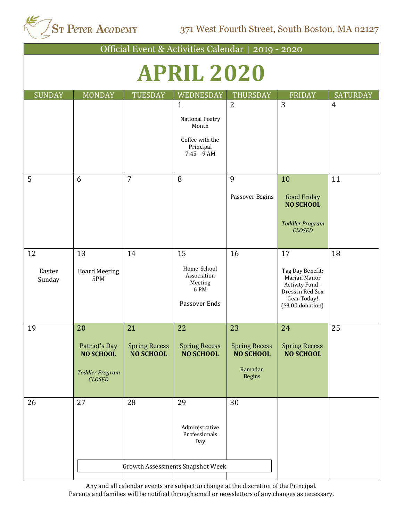

371 West Fourth Street, South Boston, MA 02127

Official Event & Activities Calendar | 2019 - 2020

## **APRIL 2020**

| <b>SUNDAY</b>          | <b>MONDAY</b>                                                                      | <b>TUESDAY</b>                                 | WEDNESDAY                                                                                 | <b>THURSDAY</b>                                                     | <b>FRIDAY</b>                                                                                                      | <b>SATURDAY</b> |
|------------------------|------------------------------------------------------------------------------------|------------------------------------------------|-------------------------------------------------------------------------------------------|---------------------------------------------------------------------|--------------------------------------------------------------------------------------------------------------------|-----------------|
|                        |                                                                                    |                                                | $\mathbf{1}$<br>National Poetry<br>Month<br>Coffee with the<br>Principal<br>$7:45 - 9$ AM | $\overline{2}$                                                      | 3                                                                                                                  | $\overline{4}$  |
| 5                      | 6                                                                                  | $\overline{7}$                                 | 8                                                                                         | 9<br>Passover Begins                                                | 10<br>Good Friday<br><b>NO SCHOOL</b><br><b>Toddler Program</b><br><b>CLOSED</b>                                   | 11              |
| 12<br>Easter<br>Sunday | 13<br><b>Board Meeting</b><br>5PM                                                  | 14                                             | 15<br>Home-School<br>Association<br>Meeting<br>6PM<br>Passover Ends                       | 16                                                                  | 17<br>Tag Day Benefit:<br>Marian Manor<br>Activity Fund -<br>Dress in Red Sox<br>Gear Today!<br>$($3.00$ donation) | 18              |
| 19                     | 20<br>Patriot's Day<br><b>NO SCHOOL</b><br><b>Toddler Program</b><br><b>CLOSED</b> | 21<br><b>Spring Recess</b><br><b>NO SCHOOL</b> | 22<br><b>Spring Recess</b><br><b>NO SCHOOL</b>                                            | 23<br><b>Spring Recess</b><br><b>NO SCHOOL</b><br>Ramadan<br>Begins | 24<br><b>Spring Recess</b><br><b>NO SCHOOL</b>                                                                     | 25              |
| 26                     | 27                                                                                 | 28                                             | 29<br>Administrative<br>Professionals<br>Day<br><b>Growth Assessments Snapshot Week</b>   | 30                                                                  |                                                                                                                    |                 |
|                        |                                                                                    |                                                |                                                                                           |                                                                     |                                                                                                                    |                 |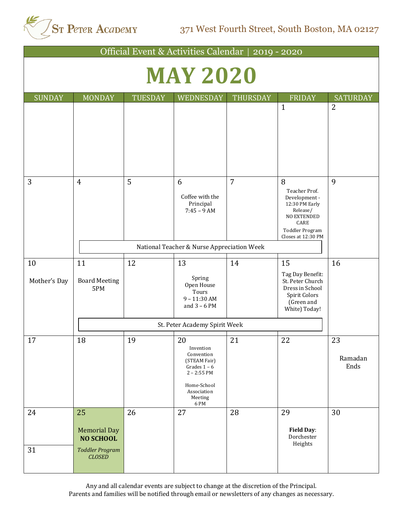

371 West Fourth Street, South Boston, MA 02127

| Official Event & Activities Calendar   2019 - 2020 |                                                                         |                |                                                                                                                                   |                 |                                                                                                                                                 |                       |  |
|----------------------------------------------------|-------------------------------------------------------------------------|----------------|-----------------------------------------------------------------------------------------------------------------------------------|-----------------|-------------------------------------------------------------------------------------------------------------------------------------------------|-----------------------|--|
| <b>MAY 2020</b>                                    |                                                                         |                |                                                                                                                                   |                 |                                                                                                                                                 |                       |  |
| <b>SUNDAY</b>                                      | <b>MONDAY</b>                                                           | <b>TUESDAY</b> | WEDNESDAY                                                                                                                         | <b>THURSDAY</b> | <b>FRIDAY</b>                                                                                                                                   | <b>SATURDAY</b>       |  |
|                                                    |                                                                         |                |                                                                                                                                   |                 | $\mathbf{1}$                                                                                                                                    | $\overline{2}$        |  |
| 3                                                  | $\overline{4}$                                                          | 5              | 6<br>Coffee with the<br>Principal<br>$7:45 - 9$ AM                                                                                | $\overline{7}$  | 8<br>Teacher Prof.<br>Development -<br>12:30 PM Early<br>Release/<br><b>NO EXTENDED</b><br>CARE<br><b>Toddler Program</b><br>Closes at 12:30 PM | 9                     |  |
|                                                    |                                                                         |                | National Teacher & Nurse Appreciation Week                                                                                        |                 |                                                                                                                                                 |                       |  |
| 10<br>Mother's Day                                 | 11<br><b>Board Meeting</b><br>5PM                                       | 12             | 13<br>Spring<br>Open House<br>Tours<br>$9 - 11:30$ AM<br>and $3 - 6$ PM                                                           | 14              | 15<br>Tag Day Benefit:<br>St. Peter Church<br>Dress in School<br>Spirit Colors<br>(Green and<br>White) Today!                                   | 16                    |  |
|                                                    |                                                                         |                | St. Peter Academy Spirit Week                                                                                                     |                 |                                                                                                                                                 |                       |  |
| 17                                                 | 18                                                                      | 19             | 20<br>Invention<br>Convention<br>(STEAM Fair)<br>Grades $1 - 6$<br>$2 - 2:55$ PM<br>Home-School<br>Association<br>Meeting<br>6 PM | 21              | 22                                                                                                                                              | 23<br>Ramadan<br>Ends |  |
| 24<br>31                                           | 25<br><b>Memorial Day</b><br><b>NO SCHOOL</b><br><b>Toddler Program</b> | 26             | 27                                                                                                                                | 28              | 29<br><b>Field Day:</b><br>Dorchester<br>Heights                                                                                                | 30                    |  |
|                                                    | <b>CLOSED</b>                                                           |                |                                                                                                                                   |                 |                                                                                                                                                 |                       |  |